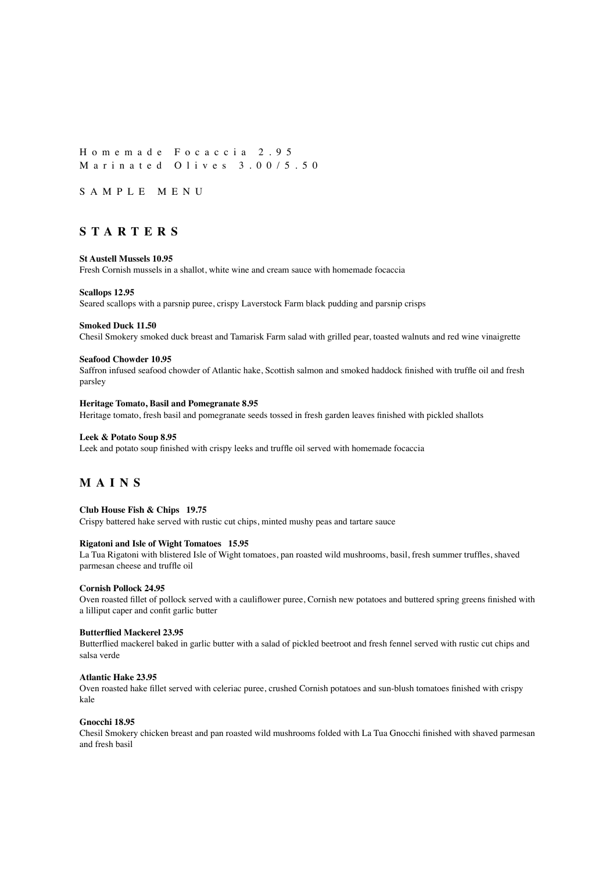Homemade Focaccia 2.95 Marinated Olives 3.00/5.50

SAMPLE MENU

## **STARTERS**

### **St Austell Mussels 10.95**

Fresh Cornish mussels in a shallot, white wine and cream sauce with homemade focaccia

#### **Scallops 12.95**

Seared scallops with a parsnip puree, crispy Laverstock Farm black pudding and parsnip crisps

### **Smoked Duck 11.50**

Chesil Smokery smoked duck breast and Tamarisk Farm salad with grilled pear, toasted walnuts and red wine vinaigrette

#### **Seafood Chowder 10.95**

Saffron infused seafood chowder of Atlantic hake, Scottish salmon and smoked haddock finished with truffle oil and fresh parsley

#### **Heritage Tomato, Basil and Pomegranate 8.95**

Heritage tomato, fresh basil and pomegranate seeds tossed in fresh garden leaves finished with pickled shallots

## **Leek & Potato Soup 8.95**

Leek and potato soup finished with crispy leeks and truffle oil served with homemade focaccia

# **MAIN S**

### **Club House Fish & Chips 19.75**

Crispy battered hake served with rustic cut chips, minted mushy peas and tartare sauce

### **Rigatoni and Isle of Wight Tomatoes 15.95**

La Tua Rigatoni with blistered Isle of Wight tomatoes, pan roasted wild mushrooms, basil, fresh summer truffles, shaved parmesan cheese and truffle oil

## **Cornish Pollock 24.95**

Oven roasted fillet of pollock served with a cauliflower puree, Cornish new potatoes and buttered spring greens finished with a lilliput caper and confit garlic butter

### **Butterflied Mackerel 23.95**

Butterflied mackerel baked in garlic butter with a salad of pickled beetroot and fresh fennel served with rustic cut chips and salsa verde

## **Atlantic Hake 23.95**

Oven roasted hake fillet served with celeriac puree, crushed Cornish potatoes and sun-blush tomatoes finished with crispy kale

## **Gnocchi 18.95**

Chesil Smokery chicken breast and pan roasted wild mushrooms folded with La Tua Gnocchi finished with shaved parmesan and fresh basil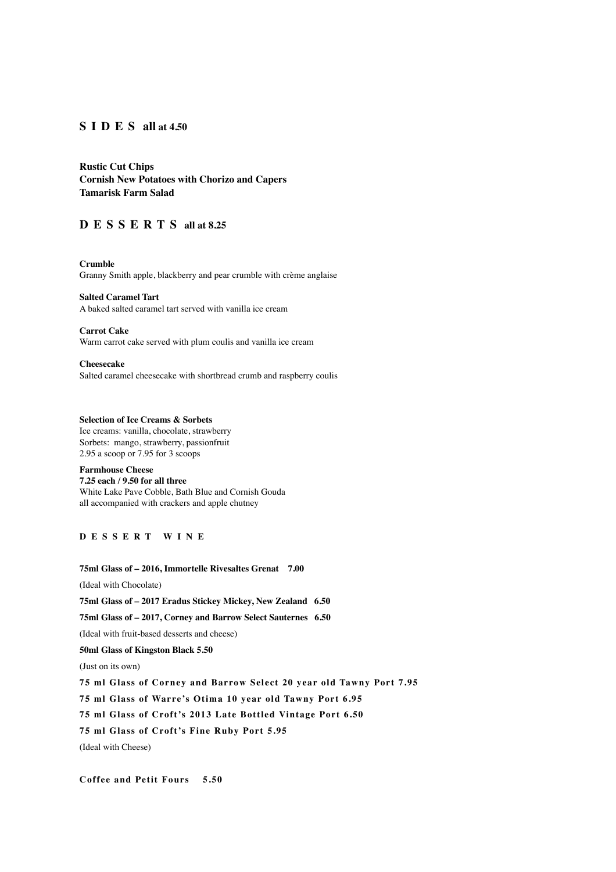## **SIDES all at 4.50**

**Rustic Cut Chips Cornish New Potatoes with Chorizo and Capers Tamarisk Farm Salad**

# **DESSERTS all at 8.25**

**Crumble**  Granny Smith apple, blackberry and pear crumble with crème anglaise

**Salted Caramel Tart** A baked salted caramel tart served with vanilla ice cream

**Carrot Cake** Warm carrot cake served with plum coulis and vanilla ice cream

**Cheesecake** Salted caramel cheesecake with shortbread crumb and raspberry coulis

## **Selection of Ice Creams & Sorbets**

Ice creams: vanilla, chocolate, strawberry Sorbets: mango, strawberry, passionfruit 2.95 a scoop or 7.95 for 3 scoops

### **Farmhouse Cheese 7.25 each / 9.50 for all three**

White Lake Pave Cobble, Bath Blue and Cornish Gouda all accompanied with crackers and apple chutney

## **DESSERT WINE**

**75ml Glass of – 2016, Immortelle Rivesaltes Grenat 7.00** (Ideal with Chocolate) **75ml Glass of – 2017 Eradus Stickey Mickey, New Zealand 6.50 75ml Glass of – 2017, Corney and Barrow Select Sauternes 6.50** (Ideal with fruit-based desserts and cheese) **50ml Glass of Kingston Black 5.50**  (Just on its own) **75 ml Glass of Corney and Barrow Select 20 year old Tawny Port 7.95 75 ml Glass of Warre's Otima 10 year old Tawny Port 6.95 75 ml Glass of Croft's 2013 Late Bottled Vintage Port 6.50 75 ml Glass of Croft's Fine Ruby Port 5.95**  (Ideal with Cheese)

**Coffee and Petit Fours 5.50**